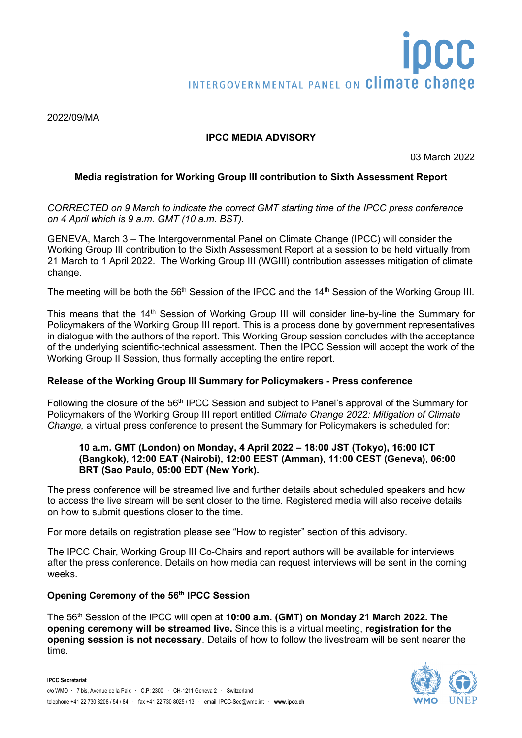2022/09/MA

# **IPCC MEDIA ADVISORY**

03 March 2022

## **Media registration for Working Group III contribution to Sixth Assessment Report**

*CORRECTED on 9 March to indicate the correct GMT starting time of the IPCC press conference on 4 April which is 9 a.m. GMT (10 a.m. BST).*

GENEVA, March 3 – The Intergovernmental Panel on Climate Change (IPCC) will consider the Working Group III contribution to the Sixth Assessment Report at a session to be held virtually from 21 March to 1 April 2022. The Working Group III (WGIII) contribution assesses mitigation of climate change.

The meeting will be both the 56<sup>th</sup> Session of the IPCC and the 14<sup>th</sup> Session of the Working Group III.

This means that the 14<sup>th</sup> Session of Working Group III will consider line-by-line the Summary for Policymakers of the Working Group III report. This is a process done by government representatives in dialogue with the authors of the report. This Working Group session concludes with the acceptance of the underlying scientific-technical assessment. Then the IPCC Session will accept the work of the Working Group II Session, thus formally accepting the entire report.

### **Release of the Working Group III Summary for Policymakers - Press conference**

Following the closure of the 56th IPCC Session and subject to Panel's approval of the Summary for Policymakers of the Working Group III report entitled *Climate Change 2022: Mitigation of Climate Change,* a virtual press conference to present the Summary for Policymakers is scheduled for:

### **10 a.m. GMT (London) on Monday, 4 April 2022 – 18:00 JST (Tokyo), 16:00 ICT (Bangkok), 12:00 EAT (Nairobi), 12:00 EEST (Amman), 11:00 CEST (Geneva), 06:00 BRT (Sao Paulo, 05:00 EDT (New York).**

The press conference will be streamed live and further details about scheduled speakers and how to access the live stream will be sent closer to the time. Registered media will also receive details on how to submit questions closer to the time.

For more details on registration please see "How to register" section of this advisory.

The IPCC Chair, Working Group III Co-Chairs and report authors will be available for interviews after the press conference. Details on how media can request interviews will be sent in the coming weeks.

## **Opening Ceremony of the 56th IPCC Session**

The 56th Session of the IPCC will open at **10:00 a.m. (GMT) on Monday 21 March 2022. The opening ceremony will be streamed live.** Since this is a virtual meeting, **registration for the opening session is not necessary**. Details of how to follow the livestream will be sent nearer the time.

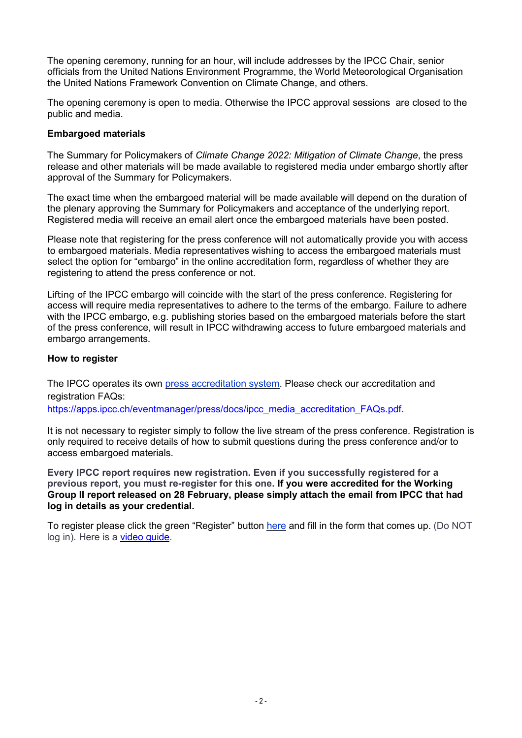The opening ceremony, running for an hour, will include addresses by the IPCC Chair, senior officials from the United Nations Environment Programme, the World Meteorological Organisation the United Nations Framework Convention on Climate Change, and others.

The opening ceremony is open to media. Otherwise the IPCC approval sessions are closed to the public and media.

### **Embargoed materials**

The Summary for Policymakers of *Climate Change 2022: Mitigation of Climate Change*, the press release and other materials will be made available to registered media under embargo shortly after approval of the Summary for Policymakers.

The exact time when the embargoed material will be made available will depend on the duration of the plenary approving the Summary for Policymakers and acceptance of the underlying report. Registered media will receive an email alert once the embargoed materials have been posted.

Please note that registering for the press conference will not automatically provide you with access to embargoed materials. Media representatives wishing to access the embargoed materials must select the option for "embargo" in the online accreditation form, regardless of whether they are registering to attend the press conference or not.

Lifting of the IPCC embargo will coincide with the start of the press conference. Registering for access will require media representatives to adhere to the terms of the embargo. Failure to adhere with the IPCC embargo, e.g. publishing stories based on the embargoed materials before the start of the press conference, will result in IPCC withdrawing access to future embargoed materials and embargo arrangements.

## **How to register**

The IPCC operates its own press [accreditation](https://apps.ipcc.ch/eventmanager/press/login.php) system. Please check our accreditation and registration FAQs:

[https://apps.ipcc.ch/eventmanager/press/docs/ipcc\\_media\\_accreditation\\_FAQs.pdf.](https://apps.ipcc.ch/eventmanager/press/docs/ipcc_media_accreditation_FAQs.pdf)

It is not necessary to register simply to follow the live stream of the press conference. Registration is only required to receive details of how to submit questions during the press conference and/or to access embargoed materials.

**Every IPCC report requires new registration. Even if you successfully registered for a previous report, you must re-register for this one. If you were accredited for the Working Group II report released on 28 February, please simply attach the email from IPCC that had log in details as your credential.**

To register please click the green "Register" button [here](https://apps.ipcc.ch/eventmanager/press/login.php) and fill in the form that comes up. (Do NOT log in). Here is a video [guide.](https://youtu.be/EE-xlFcS1-g)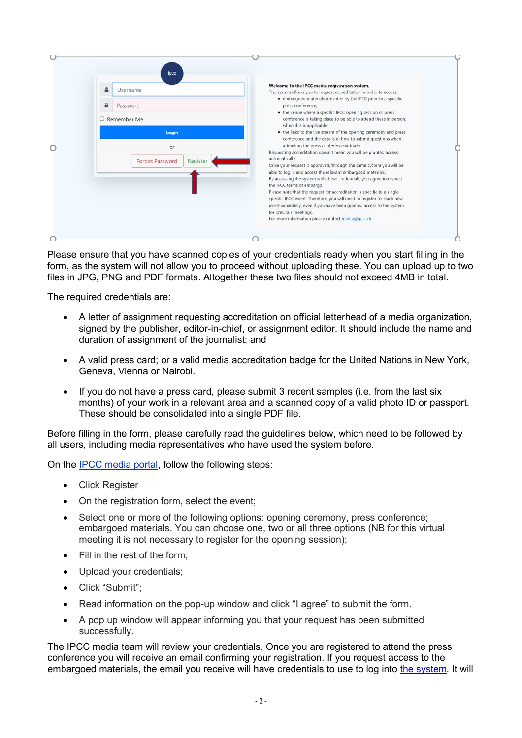|  | 옵<br>Username                                              | Welcome to the IPCC media registration system.<br>The system allows you to request accreditation in order to access:<br>• embargoed materials provided by the IPCC prior to a specific<br>press conference;<br>• the venue where a specific IPCC opening session or press<br>conference is taking place to be able to attend these in person,<br>when this is applicable; |  |
|--|------------------------------------------------------------|---------------------------------------------------------------------------------------------------------------------------------------------------------------------------------------------------------------------------------------------------------------------------------------------------------------------------------------------------------------------------|--|
|  | Password                                                   |                                                                                                                                                                                                                                                                                                                                                                           |  |
|  | Remember Me                                                |                                                                                                                                                                                                                                                                                                                                                                           |  |
|  | Login                                                      | • the links to the live stream of the opening ceremony and press<br>conference and the details of how to submit questions when                                                                                                                                                                                                                                            |  |
|  | or<br>automatically.<br>Register<br><b>Forgot Password</b> | attending the press conference virtually.<br>Requesting accreditation doesn't mean you will be granted access<br>Once your request is approved, through the same system you will be                                                                                                                                                                                       |  |
|  |                                                            | able to log in and access the relevant embargoed materials.<br>By accessing the system with these credentials, you agree to respect<br>the IPCC terms of embargo.                                                                                                                                                                                                         |  |
|  |                                                            | Please note that the request for accreditation is specific to a single<br>specific IPCC event. Therefore, you will need to register for each new<br>event separately, even if you have been granted access to the system<br>for previous meetings.                                                                                                                        |  |

Please ensure that you have scanned copies of your credentials ready when you start filling in the form, as the system will not allow you to proceed without uploading these. You can upload up to two files in JPG, PNG and PDF formats. Altogether these two files should not exceed 4MB in total.

The required credentials are:

- A letter of assignment requesting accreditation on official letterhead of a media organization, signed by the publisher, editor-in-chief, or assignment editor. It should include the name and duration of assignment of the journalist; and
- A valid press card; or a valid media accreditation badge for the United Nations in New York, Geneva, Vienna or Nairobi.
- If you do not have a press card, please submit 3 recent samples (i.e. from the last six months) of your work in a relevant area and a scanned copy of a valid photo ID or passport. These should be consolidated into a single PDF file.

Before filling in the form, please carefully read the guidelines below, which need to be followed by all users, including media representatives who have used the system before.

On the IPCC [media](https://apps.ipcc.ch/eventmanager/press/login.php) portal, follow the following steps:

- Click Register
- On the registration form, select the event;
- Select one or more of the following options: opening ceremony, press conference; embargoed materials. You can choose one, two or all three options (NB for this virtual meeting it is not necessary to register for the opening session);
- Fill in the rest of the form;
- Upload your credentials;
- Click "Submit";
- Read information on the pop-up window and click "I agree" to submit the form.
- A pop up window will appear informing you that your request has been submitted successfully.

The IPCC media team will review your credentials. Once you are registered to attend the press conference you will receive an email confirming your registration. If you request access to the embargoed materials, the email you receive will have credentials to use to log into the [system.](https://apps.ipcc.ch/eventmanager/press/) It will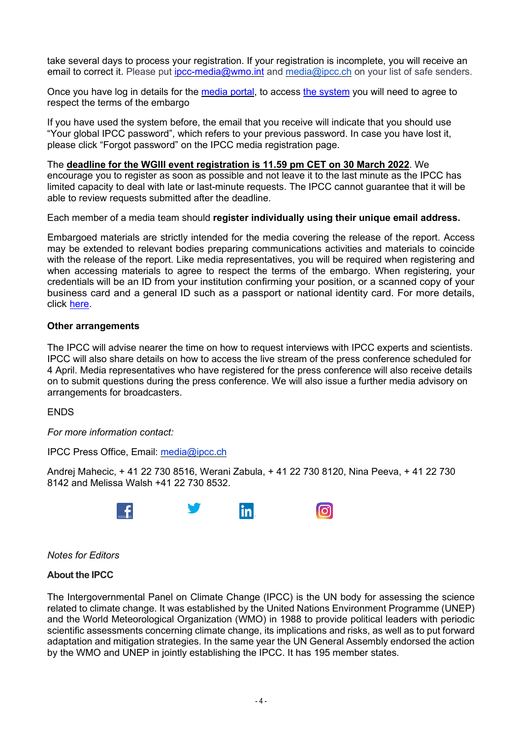take several days to process your registration. If your registration is incomplete, you will receive an email to correct it. Please put [ipcc-media@wmo.int](mailto:ipcc-media@wmo.int) and [media@ipcc.c](mailto:media@ipcc.cn)h on your list of safe senders.

Once you have log in details for the [media](https://apps.ipcc.ch/eventmanager/press/login.php) portal, to access [the system](https://apps.ipcc.ch/eventmanager/press/) you will need to agree to respect the terms of the embargo

If you have used the system before, the email that you receive will indicate that you should use "Your global IPCC password", which refers to your previous password. In case you have lost it, please click "Forgot password" on the IPCC media registration page.

The **deadline for the WGIII event registration is 11.59 pm CET on 30 March 2022**. We encourage you to register as soon as possible and not leave it to the last minute as the IPCC has limited capacity to deal with late or last-minute requests. The IPCC cannot guarantee that it will be able to review requests submitted after the deadline.

Each member of a media team should **register individually using their unique email address.**

Embargoed materials are strictly intended for the media covering the release of the report. Access may be extended to relevant bodies preparing communications activities and materials to coincide with the release of the report. Like media representatives, you will be required when registering and when accessing materials to agree to respect the terms of the embargo. When registering, your credentials will be an ID from your institution confirming your position, or a scanned copy of your business card and a general ID such as a passport or national identity card. For more details, click [here.](https://apps.ipcc.ch/eventmanager/press/docs/Accrediation_information_for_Comms_officers_and_authors21.pdf)

#### **Other arrangements**

The IPCC will advise nearer the time on how to request interviews with IPCC experts and scientists. IPCC will also share details on how to access the live stream of the press conference scheduled for 4 April. Media representatives who have registered for the press conference will also receive details on to submit questions during the press conference. We will also issue a further media advisory on arrangements for broadcasters.

**ENDS** 

*For more information contact:*

IPCC Press Office, Email: [media@ipcc.ch](mailto:media@ipcc.ch) 

Andrej Mahecic, + 41 22 730 8516, Werani Zabula, + 41 22 730 8120, Nina Peeva, + 41 22 730 8142 and Melissa Walsh +41 22 730 8532.



*Notes for Editors*

### **About the IPCC**

The Intergovernmental Panel on Climate Change (IPCC) is the UN body for assessing the science related to climate change. It was established by the United Nations Environment Programme (UNEP) and the World Meteorological Organization (WMO) in 1988 to provide political leaders with periodic scientific assessments concerning climate change, its implications and risks, as well as to put forward adaptation and mitigation strategies. In the same year the UN General Assembly endorsed the action by the WMO and UNEP in jointly establishing the IPCC. It has 195 member states.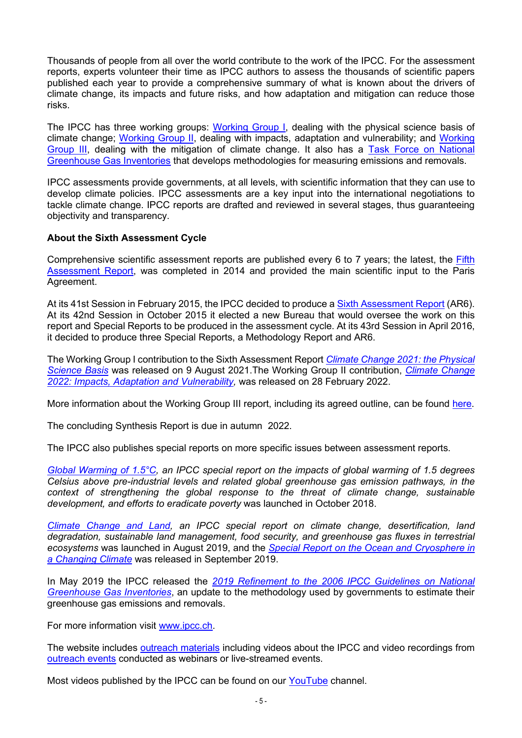Thousands of people from all over the world contribute to the work of the IPCC. For the assessment reports, experts volunteer their time as IPCC authors to assess the thousands of scientific papers published each year to provide a comprehensive summary of what is known about the drivers of climate change, its impacts and future risks, and how adaptation and mitigation can reduce those risks.

The IPCC has three working groups: [Working Group I,](https://www.ipcc.ch/working-group/wg1/) dealing with the physical science basis of climate change; [Working Group II,](https://www.ipcc.ch/working-group/wg2/) dealing with impacts, adaptation and vulnerability; and Working [Group III,](https://www.ipcc.ch/working-group/wg3/) dealing with the mitigation of climate change. It also has a [Task Force on National](https://www.ipcc.ch/working-group/tfi/)  [Greenhouse Gas Inventories](https://www.ipcc.ch/working-group/tfi/) that develops methodologies for measuring emissions and removals.

IPCC assessments provide governments, at all levels, with scientific information that they can use to develop climate policies. IPCC assessments are a key input into the international negotiations to tackle climate change. IPCC reports are drafted and reviewed in several stages, thus guaranteeing objectivity and transparency.

## **About the Sixth Assessment Cycle**

Comprehensive scientific assessment reports are published every 6 to 7 years; the latest, the Fifth [Assessment Report,](https://www.ipcc.ch/assessment-report/ar5/) was completed in 2014 and provided the main scientific input to the Paris Agreement.

At its 41st Session in February 2015, the IPCC decided to produce a [Sixth Assessment Report](https://www.ipcc.ch/assessment-report/ar6/) (AR6). At its 42nd Session in October 2015 it elected a new Bureau that would oversee the work on this report and Special Reports to be produced in the assessment cycle. At its 43rd Session in April 2016, it decided to produce three Special Reports, a Methodology Report and AR6.

The Working Group I contribution to the Sixth Assessment Report *[Climate Change 2021: the Physical](https://www.ipcc.ch/report/sixth-assessment-report-working-group-i/)  [Science Basis](https://www.ipcc.ch/report/sixth-assessment-report-working-group-i/)* was released on 9 August 2021.The Working Group II contribution, *[Climate Change](https://www.ipcc.ch/report/sixth-assessment-report-working-group-3/)  [2022: Impacts, Adaptation and Vulnerability,](https://www.ipcc.ch/report/sixth-assessment-report-working-group-3/)* was released on 28 February 2022.

More information about the Working Group III report, including its agreed outline, can be found [here.](https://www.ipcc.ch/report/sixth-assessment-report-working-group-3/)

The concluding Synthesis Report is due in autumn 2022.

The IPCC also publishes special reports on more specific issues between assessment reports.

*[Global Warming of 1.5°C,](https://www.ipcc.ch/sr15/) an IPCC special report on the impacts of global warming of 1.5 degrees Celsius above pre-industrial levels and related global greenhouse gas emission pathways, in the context of strengthening the global response to the threat of climate change, sustainable development, and efforts to eradicate poverty* was launched in October 2018.

*[Climate Change and Land,](https://www.ipcc.ch/srccl/) an IPCC special report on climate change, desertification, land degradation, sustainable land management, food security, and greenhouse gas fluxes in terrestrial ecosystems* was launched in August 2019, and the *[Special Report on the Ocean and Cryosphere in](https://www.ipcc.ch/srocc/)  [a Changing Climate](https://www.ipcc.ch/srocc/)* was released in September 2019.

In May 2019 the IPCC released the *[2019 Refinement to the 2006 IPCC Guidelines on National](https://www.ipcc.ch/report/2019-refinement-to-the-2006-ipcc-guidelines-for-national-greenhouse-gas-inventories/)  [Greenhouse Gas Inventories](https://www.ipcc.ch/report/2019-refinement-to-the-2006-ipcc-guidelines-for-national-greenhouse-gas-inventories/)*, an update to the methodology used by governments to estimate their greenhouse gas emissions and removals.

For more information visit [www.ipcc.ch.](http://www.ipcc.ch/)

The website includes [outreach materials](https://www.ipcc.ch/outreach-material/) including videos about the IPCC and video recordings from [outreach events](https://apps.ipcc.ch/outreach/) conducted as webinars or live-streamed events.

Most videos published by the IPCC can be found on our [YouTube](https://www.youtube.com/user/IPCCGeneva) channel.